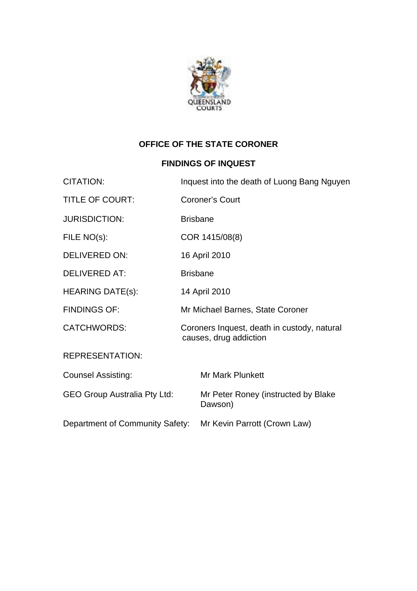

## **OFFICE OF THE STATE CORONER**

### **FINDINGS OF INQUEST**

| <b>CITATION:</b>                    | Inquest into the death of Luong Bang Nguyen |                                                                       |
|-------------------------------------|---------------------------------------------|-----------------------------------------------------------------------|
| <b>TITLE OF COURT:</b>              |                                             | <b>Coroner's Court</b>                                                |
| <b>JURISDICTION:</b>                | <b>Brisbane</b>                             |                                                                       |
| FILE NO(s):                         |                                             | COR 1415/08(8)                                                        |
| <b>DELIVERED ON:</b>                | 16 April 2010                               |                                                                       |
| <b>DELIVERED AT:</b>                | <b>Brisbane</b>                             |                                                                       |
| <b>HEARING DATE(s):</b>             | 14 April 2010                               |                                                                       |
| <b>FINDINGS OF:</b>                 |                                             | Mr Michael Barnes, State Coroner                                      |
| <b>CATCHWORDS:</b>                  |                                             | Coroners Inquest, death in custody, natural<br>causes, drug addiction |
| <b>REPRESENTATION:</b>              |                                             |                                                                       |
| <b>Counsel Assisting:</b>           |                                             | <b>Mr Mark Plunkett</b>                                               |
| <b>GEO Group Australia Pty Ltd:</b> |                                             | Mr Peter Roney (instructed by Blake<br>Dawson)                        |
| Department of Community Safety:     |                                             | Mr Kevin Parrott (Crown Law)                                          |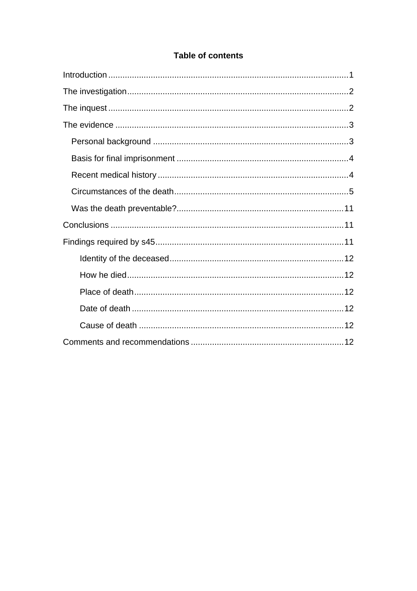### **Table of contents**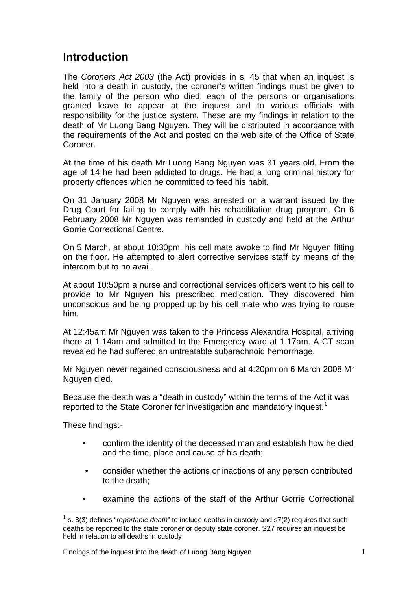## <span id="page-2-0"></span>**Introduction**

The *Coroners Act 2003* (the Act) provides in s. 45 that when an inquest is held into a death in custody, the coroner's written findings must be given to the family of the person who died, each of the persons or organisations granted leave to appear at the inquest and to various officials with responsibility for the justice system. These are my findings in relation to the death of Mr Luong Bang Nguyen. They will be distributed in accordance with the requirements of the Act and posted on the web site of the Office of State Coroner.

At the time of his death Mr Luong Bang Nguyen was 31 years old. From the age of 14 he had been addicted to drugs. He had a long criminal history for property offences which he committed to feed his habit.

On 31 January 2008 Mr Nguyen was arrested on a warrant issued by the Drug Court for failing to comply with his rehabilitation drug program. On 6 February 2008 Mr Nguyen was remanded in custody and held at the Arthur Gorrie Correctional Centre.

On 5 March, at about 10:30pm, his cell mate awoke to find Mr Nguyen fitting on the floor. He attempted to alert corrective services staff by means of the intercom but to no avail.

At about 10:50pm a nurse and correctional services officers went to his cell to provide to Mr Nguyen his prescribed medication. They discovered him unconscious and being propped up by his cell mate who was trying to rouse him.

At 12:45am Mr Nguyen was taken to the Princess Alexandra Hospital, arriving there at 1.14am and admitted to the Emergency ward at 1.17am. A CT scan revealed he had suffered an untreatable subarachnoid hemorrhage.

Mr Nguyen never regained consciousness and at 4:20pm on 6 March 2008 Mr Nguyen died.

Because the death was a "death in custody" within the terms of the Act it was reported to the State Coroner for investigation and mandatory inquest.<sup>[1](#page-2-1)</sup>

These findings:-

 $\overline{a}$ 

- confirm the identity of the deceased man and establish how he died and the time, place and cause of his death;
- consider whether the actions or inactions of any person contributed to the death;
- examine the actions of the staff of the Arthur Gorrie Correctional

<span id="page-2-1"></span><sup>1</sup> s. 8(3) defines "*reportable death*" to include deaths in custody and s7(2) requires that such deaths be reported to the state coroner or deputy state coroner. S27 requires an inquest be held in relation to all deaths in custody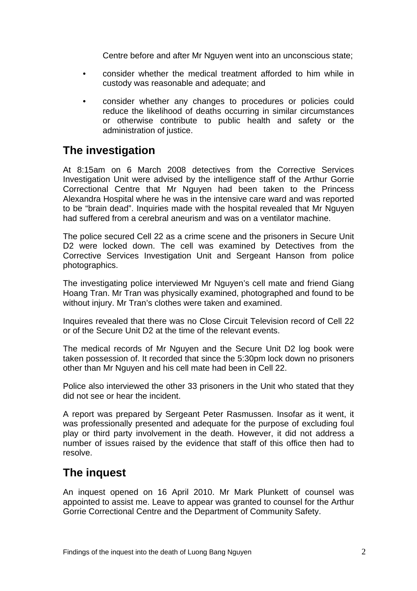Centre before and after Mr Nguyen went into an unconscious state;

- <span id="page-3-0"></span>• consider whether the medical treatment afforded to him while in custody was reasonable and adequate; and
- consider whether any changes to procedures or policies could reduce the likelihood of deaths occurring in similar circumstances or otherwise contribute to public health and safety or the administration of justice.

# **The investigation**

At 8:15am on 6 March 2008 detectives from the Corrective Services Investigation Unit were advised by the intelligence staff of the Arthur Gorrie Correctional Centre that Mr Nguyen had been taken to the Princess Alexandra Hospital where he was in the intensive care ward and was reported to be "brain dead". Inquiries made with the hospital revealed that Mr Nguyen had suffered from a cerebral aneurism and was on a ventilator machine.

The police secured Cell 22 as a crime scene and the prisoners in Secure Unit D2 were locked down. The cell was examined by Detectives from the Corrective Services Investigation Unit and Sergeant Hanson from police photographics.

The investigating police interviewed Mr Nguyen's cell mate and friend Giang Hoang Tran. Mr Tran was physically examined, photographed and found to be without injury. Mr Tran's clothes were taken and examined.

Inquires revealed that there was no Close Circuit Television record of Cell 22 or of the Secure Unit D2 at the time of the relevant events.

The medical records of Mr Nguyen and the Secure Unit D2 log book were taken possession of. It recorded that since the 5:30pm lock down no prisoners other than Mr Nguyen and his cell mate had been in Cell 22.

Police also interviewed the other 33 prisoners in the Unit who stated that they did not see or hear the incident.

A report was prepared by Sergeant Peter Rasmussen. Insofar as it went, it was professionally presented and adequate for the purpose of excluding foul play or third party involvement in the death. However, it did not address a number of issues raised by the evidence that staff of this office then had to resolve.

# **The inquest**

An inquest opened on 16 April 2010. Mr Mark Plunkett of counsel was appointed to assist me. Leave to appear was granted to counsel for the Arthur Gorrie Correctional Centre and the Department of Community Safety.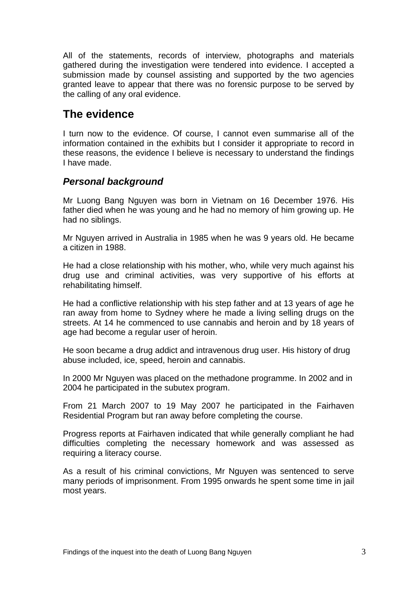<span id="page-4-0"></span>All of the statements, records of interview, photographs and materials gathered during the investigation were tendered into evidence. I accepted a submission made by counsel assisting and supported by the two agencies granted leave to appear that there was no forensic purpose to be served by the calling of any oral evidence.

## **The evidence**

I turn now to the evidence. Of course, I cannot even summarise all of the information contained in the exhibits but I consider it appropriate to record in these reasons, the evidence I believe is necessary to understand the findings I have made.

### *Personal background*

Mr Luong Bang Nguyen was born in Vietnam on 16 December 1976. His father died when he was young and he had no memory of him growing up. He had no siblings.

Mr Nguyen arrived in Australia in 1985 when he was 9 years old. He became a citizen in 1988.

He had a close relationship with his mother, who, while very much against his drug use and criminal activities, was very supportive of his efforts at rehabilitating himself.

He had a conflictive relationship with his step father and at 13 years of age he ran away from home to Sydney where he made a living selling drugs on the streets. At 14 he commenced to use cannabis and heroin and by 18 years of age had become a regular user of heroin.

He soon became a drug addict and intravenous drug user. His history of drug abuse included, ice, speed, heroin and cannabis.

In 2000 Mr Nguyen was placed on the methadone programme. In 2002 and in 2004 he participated in the subutex program.

From 21 March 2007 to 19 May 2007 he participated in the Fairhaven Residential Program but ran away before completing the course.

Progress reports at Fairhaven indicated that while generally compliant he had difficulties completing the necessary homework and was assessed as requiring a literacy course.

As a result of his criminal convictions, Mr Nguyen was sentenced to serve many periods of imprisonment. From 1995 onwards he spent some time in jail most years.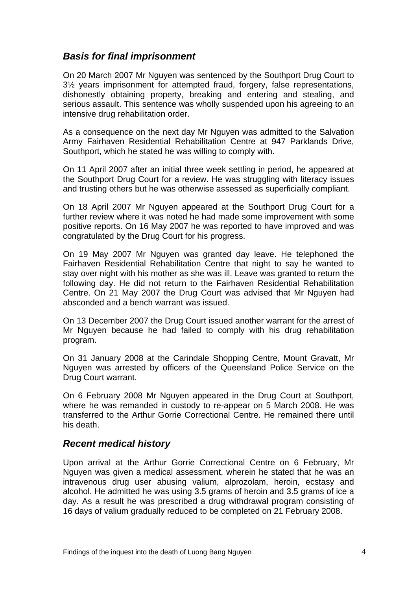### <span id="page-5-0"></span>*Basis for final imprisonment*

On 20 March 2007 Mr Nguyen was sentenced by the Southport Drug Court to 3½ years imprisonment for attempted fraud, forgery, false representations, dishonestly obtaining property, breaking and entering and stealing, and serious assault. This sentence was wholly suspended upon his agreeing to an intensive drug rehabilitation order.

As a consequence on the next day Mr Nguyen was admitted to the Salvation Army Fairhaven Residential Rehabilitation Centre at 947 Parklands Drive, Southport, which he stated he was willing to comply with.

On 11 April 2007 after an initial three week settling in period, he appeared at the Southport Drug Court for a review. He was struggling with literacy issues and trusting others but he was otherwise assessed as superficially compliant.

On 18 April 2007 Mr Nguyen appeared at the Southport Drug Court for a further review where it was noted he had made some improvement with some positive reports. On 16 May 2007 he was reported to have improved and was congratulated by the Drug Court for his progress.

On 19 May 2007 Mr Nguyen was granted day leave. He telephoned the Fairhaven Residential Rehabilitation Centre that night to say he wanted to stay over night with his mother as she was ill. Leave was granted to return the following day. He did not return to the Fairhaven Residential Rehabilitation Centre. On 21 May 2007 the Drug Court was advised that Mr Nguyen had absconded and a bench warrant was issued.

On 13 December 2007 the Drug Court issued another warrant for the arrest of Mr Nguyen because he had failed to comply with his drug rehabilitation program.

On 31 January 2008 at the Carindale Shopping Centre, Mount Gravatt, Mr Nguyen was arrested by officers of the Queensland Police Service on the Drug Court warrant.

On 6 February 2008 Mr Nguyen appeared in the Drug Court at Southport, where he was remanded in custody to re-appear on 5 March 2008. He was transferred to the Arthur Gorrie Correctional Centre. He remained there until his death.

### *Recent medical history*

Upon arrival at the Arthur Gorrie Correctional Centre on 6 February, Mr Nguyen was given a medical assessment, wherein he stated that he was an intravenous drug user abusing valium, alprozolam, heroin, ecstasy and alcohol. He admitted he was using 3.5 grams of heroin and 3.5 grams of ice a day. As a result he was prescribed a drug withdrawal program consisting of 16 days of valium gradually reduced to be completed on 21 February 2008.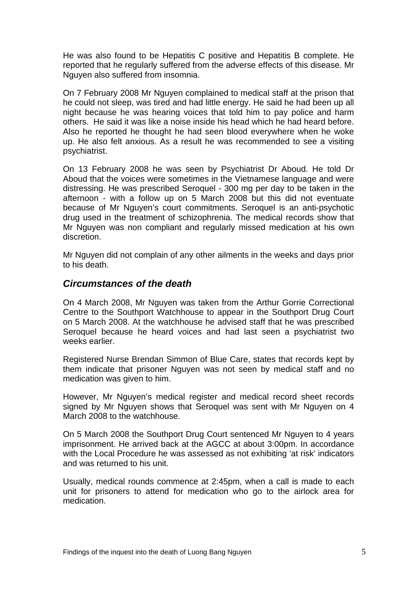<span id="page-6-0"></span>He was also found to be Hepatitis C positive and Hepatitis B complete. He reported that he regularly suffered from the adverse effects of this disease. Mr Nguyen also suffered from insomnia.

On 7 February 2008 Mr Nguyen complained to medical staff at the prison that he could not sleep, was tired and had little energy. He said he had been up all night because he was hearing voices that told him to pay police and harm others. He said it was like a noise inside his head which he had heard before. Also he reported he thought he had seen blood everywhere when he woke up. He also felt anxious. As a result he was recommended to see a visiting psychiatrist.

On 13 February 2008 he was seen by Psychiatrist Dr Aboud. He told Dr Aboud that the voices were sometimes in the Vietnamese language and were distressing. He was prescribed Seroquel - 300 mg per day to be taken in the afternoon - with a follow up on 5 March 2008 but this did not eventuate because of Mr Nguyen's court commitments. Seroquel is an anti-psychotic drug used in the treatment of schizophrenia. The medical records show that Mr Nguyen was non compliant and regularly missed medication at his own discretion.

Mr Nguyen did not complain of any other ailments in the weeks and days prior to his death.

### *Circumstances of the death*

On 4 March 2008, Mr Nguyen was taken from the Arthur Gorrie Correctional Centre to the Southport Watchhouse to appear in the Southport Drug Court on 5 March 2008. At the watchhouse he advised staff that he was prescribed Seroquel because he heard voices and had last seen a psychiatrist two weeks earlier.

Registered Nurse Brendan Simmon of Blue Care, states that records kept by them indicate that prisoner Nguyen was not seen by medical staff and no medication was given to him.

However, Mr Nguyen's medical register and medical record sheet records signed by Mr Nguyen shows that Seroquel was sent with Mr Nguyen on 4 March 2008 to the watchhouse.

On 5 March 2008 the Southport Drug Court sentenced Mr Nguyen to 4 years imprisonment. He arrived back at the AGCC at about 3:00pm. In accordance with the Local Procedure he was assessed as not exhibiting 'at risk' indicators and was returned to his unit.

Usually, medical rounds commence at 2:45pm, when a call is made to each unit for prisoners to attend for medication who go to the airlock area for medication.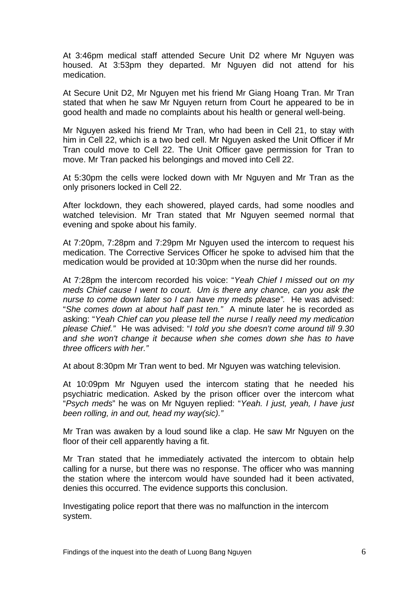At 3:46pm medical staff attended Secure Unit D2 where Mr Nguyen was housed. At 3:53pm they departed. Mr Nguyen did not attend for his medication.

At Secure Unit D2, Mr Nguyen met his friend Mr Giang Hoang Tran. Mr Tran stated that when he saw Mr Nguyen return from Court he appeared to be in good health and made no complaints about his health or general well-being.

Mr Nguyen asked his friend Mr Tran, who had been in Cell 21, to stay with him in Cell 22, which is a two bed cell. Mr Nguyen asked the Unit Officer if Mr Tran could move to Cell 22. The Unit Officer gave permission for Tran to move. Mr Tran packed his belongings and moved into Cell 22.

At 5:30pm the cells were locked down with Mr Nguyen and Mr Tran as the only prisoners locked in Cell 22.

After lockdown, they each showered, played cards, had some noodles and watched television. Mr Tran stated that Mr Nguyen seemed normal that evening and spoke about his family.

At 7:20pm, 7:28pm and 7:29pm Mr Nguyen used the intercom to request his medication. The Corrective Services Officer he spoke to advised him that the medication would be provided at 10:30pm when the nurse did her rounds.

At 7:28pm the intercom recorded his voice: "*Yeah Chief I missed out on my meds Chief cause I went to court. Um is there any chance, can you ask the nurse to come down later so I can have my meds please".* He was advised: "*She comes down at about half past ten."* A minute later he is recorded as asking: "*Yeah Chief can you please tell the nurse I really need my medication please Chief."* He was advised: "*I told you she doesn't come around till 9.30 and she won't change it because when she comes down she has to have three officers with her."* 

At about 8:30pm Mr Tran went to bed. Mr Nguyen was watching television.

At 10:09pm Mr Nguyen used the intercom stating that he needed his psychiatric medication. Asked by the prison officer over the intercom what "*Psych meds*" he was on Mr Nguyen replied: "*Yeah. I just, yeah, I have just been rolling, in and out, head my way(sic)."* 

Mr Tran was awaken by a loud sound like a clap. He saw Mr Nguyen on the floor of their cell apparently having a fit.

Mr Tran stated that he immediately activated the intercom to obtain help calling for a nurse, but there was no response. The officer who was manning the station where the intercom would have sounded had it been activated, denies this occurred. The evidence supports this conclusion.

Investigating police report that there was no malfunction in the intercom system.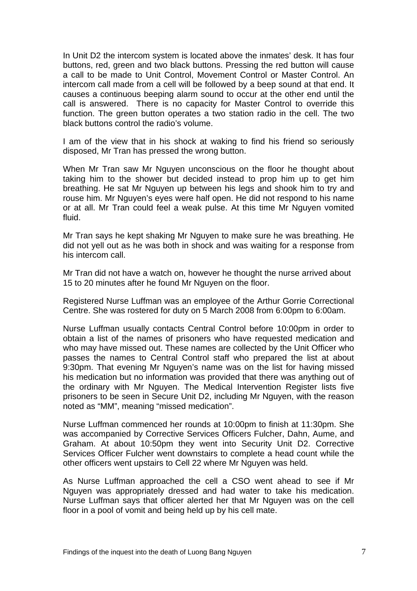In Unit D2 the intercom system is located above the inmates' desk. It has four buttons, red, green and two black buttons. Pressing the red button will cause a call to be made to Unit Control, Movement Control or Master Control. An intercom call made from a cell will be followed by a beep sound at that end. It causes a continuous beeping alarm sound to occur at the other end until the call is answered. There is no capacity for Master Control to override this function. The green button operates a two station radio in the cell. The two black buttons control the radio's volume.

I am of the view that in his shock at waking to find his friend so seriously disposed, Mr Tran has pressed the wrong button.

When Mr Tran saw Mr Nguyen unconscious on the floor he thought about taking him to the shower but decided instead to prop him up to get him breathing. He sat Mr Nguyen up between his legs and shook him to try and rouse him. Mr Nguyen's eyes were half open. He did not respond to his name or at all. Mr Tran could feel a weak pulse. At this time Mr Nguyen vomited fluid.

Mr Tran says he kept shaking Mr Nguyen to make sure he was breathing. He did not yell out as he was both in shock and was waiting for a response from his intercom call.

Mr Tran did not have a watch on, however he thought the nurse arrived about 15 to 20 minutes after he found Mr Nguyen on the floor.

Registered Nurse Luffman was an employee of the Arthur Gorrie Correctional Centre. She was rostered for duty on 5 March 2008 from 6:00pm to 6:00am.

Nurse Luffman usually contacts Central Control before 10:00pm in order to obtain a list of the names of prisoners who have requested medication and who may have missed out. These names are collected by the Unit Officer who passes the names to Central Control staff who prepared the list at about 9:30pm. That evening Mr Nguyen's name was on the list for having missed his medication but no information was provided that there was anything out of the ordinary with Mr Nguyen. The Medical Intervention Register lists five prisoners to be seen in Secure Unit D2, including Mr Nguyen, with the reason noted as "MM", meaning "missed medication".

Nurse Luffman commenced her rounds at 10:00pm to finish at 11:30pm. She was accompanied by Corrective Services Officers Fulcher, Dahn, Aume, and Graham. At about 10:50pm they went into Security Unit D2. Corrective Services Officer Fulcher went downstairs to complete a head count while the other officers went upstairs to Cell 22 where Mr Nguyen was held.

As Nurse Luffman approached the cell a CSO went ahead to see if Mr Nguyen was appropriately dressed and had water to take his medication. Nurse Luffman says that officer alerted her that Mr Nguyen was on the cell floor in a pool of vomit and being held up by his cell mate.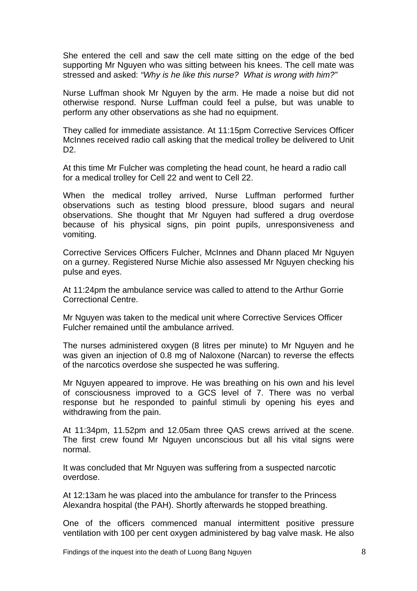She entered the cell and saw the cell mate sitting on the edge of the bed supporting Mr Nguyen who was sitting between his knees. The cell mate was stressed and asked: *"Why is he like this nurse? What is wrong with him?"* 

Nurse Luffman shook Mr Nguyen by the arm. He made a noise but did not otherwise respond. Nurse Luffman could feel a pulse, but was unable to perform any other observations as she had no equipment.

They called for immediate assistance. At 11:15pm Corrective Services Officer McInnes received radio call asking that the medical trolley be delivered to Unit D2.

At this time Mr Fulcher was completing the head count, he heard a radio call for a medical trolley for Cell 22 and went to Cell 22.

When the medical trolley arrived, Nurse Luffman performed further observations such as testing blood pressure, blood sugars and neural observations. She thought that Mr Nguyen had suffered a drug overdose because of his physical signs, pin point pupils, unresponsiveness and vomiting.

Corrective Services Officers Fulcher, McInnes and Dhann placed Mr Nguyen on a gurney. Registered Nurse Michie also assessed Mr Nguyen checking his pulse and eyes.

At 11:24pm the ambulance service was called to attend to the Arthur Gorrie Correctional Centre.

Mr Nguyen was taken to the medical unit where Corrective Services Officer Fulcher remained until the ambulance arrived.

The nurses administered oxygen (8 litres per minute) to Mr Nguyen and he was given an injection of 0.8 mg of Naloxone (Narcan) to reverse the effects of the narcotics overdose she suspected he was suffering.

Mr Nguyen appeared to improve. He was breathing on his own and his level of consciousness improved to a GCS level of 7. There was no verbal response but he responded to painful stimuli by opening his eyes and withdrawing from the pain.

At 11:34pm, 11.52pm and 12.05am three QAS crews arrived at the scene. The first crew found Mr Nguyen unconscious but all his vital signs were normal.

It was concluded that Mr Nguyen was suffering from a suspected narcotic overdose.

At 12:13am he was placed into the ambulance for transfer to the Princess Alexandra hospital (the PAH). Shortly afterwards he stopped breathing.

One of the officers commenced manual intermittent positive pressure ventilation with 100 per cent oxygen administered by bag valve mask. He also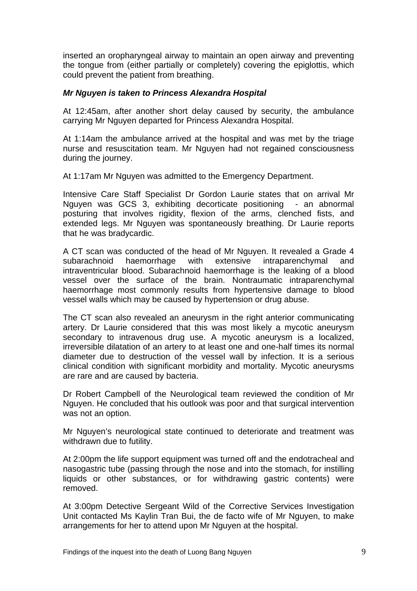inserted an oropharyngeal airway to maintain an open airway and preventing the [tongue](http://en.wikipedia.org/wiki/Tongue) from (either partially or completely) covering the [epiglottis](http://en.wikipedia.org/wiki/Epiglottis), which could prevent the patient from breathing.

#### *Mr Nguyen is taken to Princess Alexandra Hospital*

At 12:45am, after another short delay caused by security, the ambulance carrying Mr Nguyen departed for Princess Alexandra Hospital.

At 1:14am the ambulance arrived at the hospital and was met by the triage nurse and resuscitation team. Mr Nguyen had not regained consciousness during the journey.

At 1:17am Mr Nguyen was admitted to the Emergency Department.

Intensive Care Staff Specialist Dr Gordon Laurie states that on arrival Mr Nguyen was GCS 3, exhibiting decorticate positioning - an abnormal posturing that involves rigidity, flexion of the arms, clenched fists, and extended legs. Mr Nguyen was spontaneously breathing. Dr Laurie reports that he was bradycardic.

A CT scan was conducted of the head of Mr Nguyen. It revealed a Grade 4 subarachnoid haemorrhage with extensive intraparenchymal and intraventricular blood. Subarachnoid haemorrhage is the leaking of a blood vessel over the surface of the brain. Nontraumatic intraparenchymal haemorrhage most commonly results from hypertensive damage to [blood](http://en.wikipedia.org/wiki/Blood_vessel)  [vessel](http://en.wikipedia.org/wiki/Blood_vessel) walls which may be caused by hypertension or drug abuse.

The CT scan also revealed an aneurysm in the right anterior communicating artery. Dr Laurie considered that this was most likely a mycotic aneurysm secondary to intravenous drug use. A mycotic aneurysm is a localized, irreversible dilatation of an artery to at least one and one-half times its normal diameter due to destruction of the vessel wall by infection. It is a serious clinical condition with significant morbidity and mortality. Mycotic aneurysms are rare and are caused by bacteria.

Dr Robert Campbell of the Neurological team reviewed the condition of Mr Nguyen. He concluded that his outlook was poor and that surgical intervention was not an option.

Mr Nguyen's neurological state continued to deteriorate and treatment was withdrawn due to futility.

At 2:00pm the life support equipment was turned off and the endotracheal and nasogastric tube (passing through the nose and into the stomach, for instilling liquids or other substances, or for withdrawing gastric contents) were removed.

At 3:00pm Detective Sergeant Wild of the Corrective Services Investigation Unit contacted Ms Kaylin Tran Bui, the de facto wife of Mr Nguyen, to make arrangements for her to attend upon Mr Nguyen at the hospital.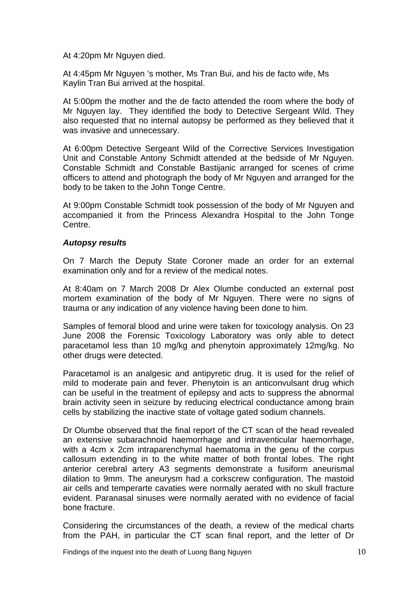At 4:20pm Mr Nguyen died.

At 4:45pm Mr Nguyen 's mother, Ms Tran Bui, and his de facto wife, Ms Kaylin Tran Bui arrived at the hospital.

At 5:00pm the mother and the de facto attended the room where the body of Mr Nguyen lay. They identified the body to Detective Sergeant Wild. They also requested that no internal autopsy be performed as they believed that it was invasive and unnecessary.

At 6:00pm Detective Sergeant Wild of the Corrective Services Investigation Unit and Constable Antony Schmidt attended at the bedside of Mr Nguyen. Constable Schmidt and Constable Bastijanic arranged for scenes of crime officers to attend and photograph the body of Mr Nguyen and arranged for the body to be taken to the John Tonge Centre.

At 9:00pm Constable Schmidt took possession of the body of Mr Nguyen and accompanied it from the Princess Alexandra Hospital to the John Tonge Centre.

#### *Autopsy results*

On 7 March the Deputy State Coroner made an order for an external examination only and for a review of the medical notes.

At 8:40am on 7 March 2008 Dr Alex Olumbe conducted an external post mortem examination of the body of Mr Nguyen. There were no signs of trauma or any indication of any violence having been done to him.

Samples of femoral blood and urine were taken for toxicology analysis. On 23 June 2008 the Forensic Toxicology Laboratory was only able to detect paracetamol less than 10 mg/kg and phenytoin approximately 12mg/kg. No other drugs were detected.

Paracetamol is an analgesic and antipyretic drug. It is used for the relief of mild to moderate pain and fever. Phenytoin is an anticonvulsant drug which can be useful in the treatment of epilepsy and acts to suppress the abnormal brain activity seen in seizure by reducing electrical conductance among brain cells by stabilizing the inactive state of voltage gated sodium channels.

Dr Olumbe observed that the final report of the CT scan of the head revealed an extensive subarachnoid haemorrhage and intraventicular haemorrhage, with a 4cm x 2cm intraparenchymal haematoma in the genu of the corpus callosum extending in to the white matter of both frontal lobes. The right anterior cerebral artery A3 segments demonstrate a fusiform aneurismal dilation to 9mm. The aneurysm had a corkscrew configuration. The mastoid air cells and temperarte cavaties were normally aerated with no skull fracture evident. Paranasal sinuses were normally aerated with no evidence of facial bone fracture.

Considering the circumstances of the death, a review of the medical charts from the PAH, in particular the CT scan final report, and the letter of Dr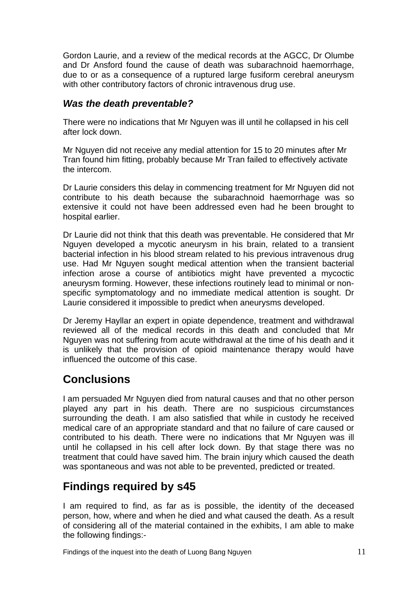<span id="page-12-0"></span>Gordon Laurie, and a review of the medical records at the AGCC, Dr Olumbe and Dr Ansford found the cause of death was subarachnoid haemorrhage, due to or as a consequence of a ruptured large fusiform cerebral aneurysm with other contributory factors of chronic intravenous drug use.

### *Was the death preventable?*

There were no indications that Mr Nguyen was ill until he collapsed in his cell after lock down.

Mr Nguyen did not receive any medial attention for 15 to 20 minutes after Mr Tran found him fitting, probably because Mr Tran failed to effectively activate the intercom.

Dr Laurie considers this delay in commencing treatment for Mr Nguyen did not contribute to his death because the subarachnoid haemorrhage was so extensive it could not have been addressed even had he been brought to hospital earlier.

Dr Laurie did not think that this death was preventable. He considered that Mr Nguyen developed a mycotic aneurysm in his brain, related to a transient bacterial infection in his blood stream related to his previous intravenous drug use. Had Mr Nguyen sought medical attention when the transient bacterial infection arose a course of antibiotics might have prevented a mycoctic aneurysm forming. However, these infections routinely lead to minimal or nonspecific symptomatology and no immediate medical attention is sought. Dr Laurie considered it impossible to predict when aneurysms developed.

Dr Jeremy Hayllar an expert in opiate dependence, treatment and withdrawal reviewed all of the medical records in this death and concluded that Mr Nguyen was not suffering from acute withdrawal at the time of his death and it is unlikely that the provision of opioid maintenance therapy would have influenced the outcome of this case.

# **Conclusions**

I am persuaded Mr Nguyen died from natural causes and that no other person played any part in his death. There are no suspicious circumstances surrounding the death. I am also satisfied that while in custody he received medical care of an appropriate standard and that no failure of care caused or contributed to his death. There were no indications that Mr Nguyen was ill until he collapsed in his cell after lock down. By that stage there was no treatment that could have saved him. The brain injury which caused the death was spontaneous and was not able to be prevented, predicted or treated.

# **Findings required by s45**

I am required to find, as far as is possible, the identity of the deceased person, how, where and when he died and what caused the death. As a result of considering all of the material contained in the exhibits, I am able to make the following findings:-